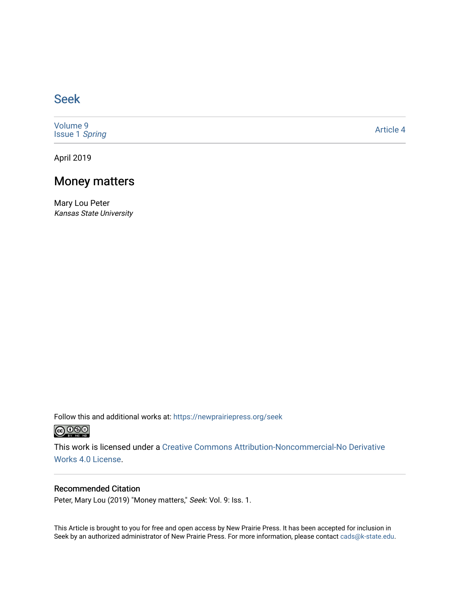# [Seek](https://newprairiepress.org/seek)

[Volume 9](https://newprairiepress.org/seek/vol9) [Issue 1](https://newprairiepress.org/seek/vol9/iss1) Spring

[Article 4](https://newprairiepress.org/seek/vol9/iss1/4) 

April 2019

## Money matters

Mary Lou Peter Kansas State University

Follow this and additional works at: [https://newprairiepress.org/seek](https://newprairiepress.org/seek?utm_source=newprairiepress.org%2Fseek%2Fvol9%2Fiss1%2F4&utm_medium=PDF&utm_campaign=PDFCoverPages)



This work is licensed under a [Creative Commons Attribution-Noncommercial-No Derivative](https://creativecommons.org/licenses/by-nc-nd/4.0/)  [Works 4.0 License](https://creativecommons.org/licenses/by-nc-nd/4.0/).

#### Recommended Citation

Peter, Mary Lou (2019) "Money matters," Seek: Vol. 9: Iss. 1.

This Article is brought to you for free and open access by New Prairie Press. It has been accepted for inclusion in Seek by an authorized administrator of New Prairie Press. For more information, please contact [cads@k-state.edu](mailto:cads@k-state.edu).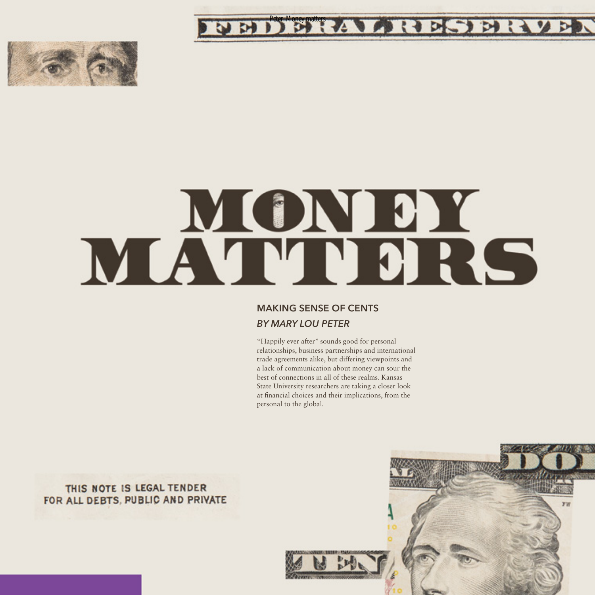



# MONDEY MAUUDRS

## **MAKING SENSE OF CENTS** *BY MARY LOU PETER*

"Happily ever after" sounds good for personal relationships, business partnerships and international trade agreements alike, but differing viewpoints and a lack of communication about money can sour the best of connections in all of these realms. Kansas State University researchers are taking a closer look at financial choices and their implications, from the personal to the global.



THIS NOTE IS LEGAL TENDER FOR ALL DEBTS, PUBLIC AND PRIVATE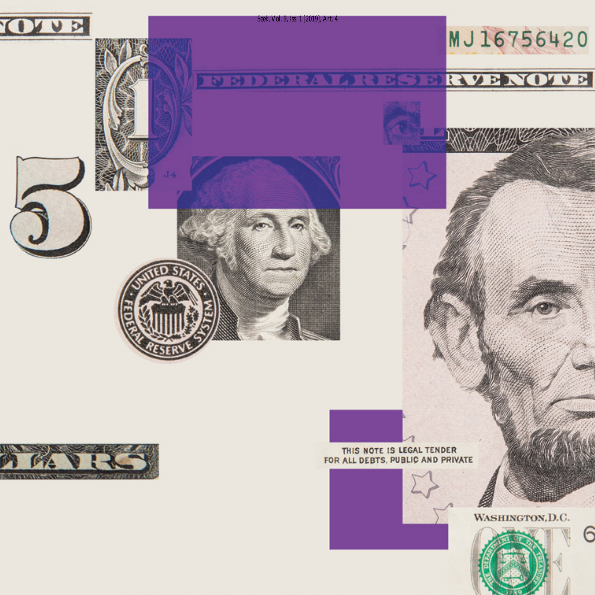

MJ16756420

RVENOVVE



#### THIS NOTE IS LEGAL TENDER FOR ALL DEBTS, PUBLIC AND PRIVATE

 $M<sub>2</sub>$ 



WASHINGTON, D.C.

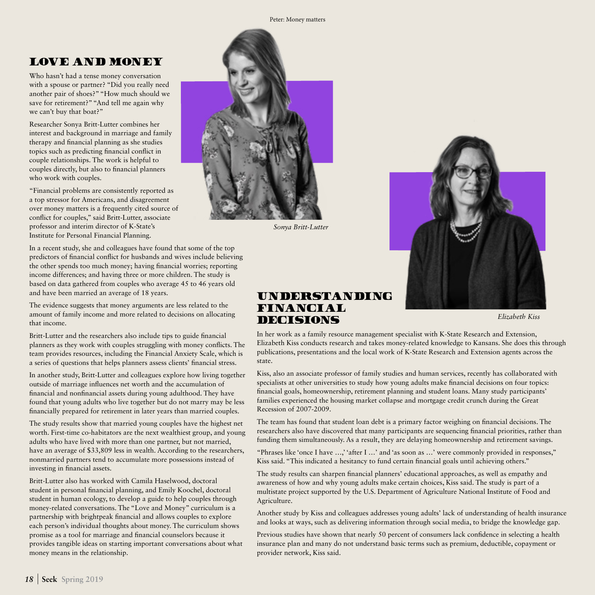# Love and money

Who hasn't had a tense money conversation with a spouse or partner? "Did you really need another pair of shoes?" "How much should we save for retirement?" "And tell me again why we can't buy that boat?"

Researcher Sonya Britt-Lutter combines her interest and background in marriage and family therapy and financial planning as she studies topics such as predicting financial conflict in couple relationships. The work is helpful to couples directly, but also to financial planners who work with couples.

"Financial problems are consistently reported as a top stressor for Americans, and disagreement over money matters is a frequently cited source of conflict for couples," said Britt-Lutter, associate professor and interim director of K-State's Institute for Personal Financial Planning.

In a recent study, she and colleagues have found that some of the top predictors of financial conflict for husbands and wives include believing the other spends too much money; having financial worries; reporting income differences; and having three or more children. The study is based on data gathered from couples who average 45 to 46 years old and have been married an average of 18 years.

The evidence suggests that money arguments are less related to the amount of family income and more related to decisions on allocating that income.

Britt-Lutter and the researchers also include tips to guide financial planners as they work with couples struggling with money conflicts. The team provides resources, including the Financial Anxiety Scale, which is a series of questions that helps planners assess clients' financial stress.

In another study, Britt-Lutter and colleagues explore how living together outside of marriage influences net worth and the accumulation of financial and nonfinancial assets during young adulthood. They have found that young adults who live together but do not marry may be less financially prepared for retirement in later years than married couples.

The study results show that married young couples have the highest net worth. First-time co-habitators are the next wealthiest group, and young adults who have lived with more than one partner, but not married, have an average of \$33,809 less in wealth. According to the researchers, nonmarried partners tend to accumulate more possessions instead of investing in financial assets.

Britt-Lutter also has worked with Camila Haselwood, doctoral student in personal financial planning, and Emily Koochel, doctoral student in human ecology, to develop a guide to help couples through money-related conversations. The "Love and Money" curriculum is a partnership with brightpeak financial and allows couples to explore each person's individual thoughts about money. The curriculum shows promise as a tool for marriage and financial counselors because it provides tangible ideas on starting important conversations about what money means in the relationship.



*Sonya Britt-Lutter*



*Elizabeth Kiss*

### Understanding financial DECISIONS

In her work as a family resource management specialist with K-State Research and Extension, Elizabeth Kiss conducts research and takes money-related knowledge to Kansans. She does this through publications, presentations and the local work of K-State Research and Extension agents across the state.

Kiss, also an associate professor of family studies and human services, recently has collaborated with specialists at other universities to study how young adults make financial decisions on four topics: financial goals, homeownership, retirement planning and student loans. Many study participants' families experienced the housing market collapse and mortgage credit crunch during the Great Recession of 2007-2009.

The team has found that student loan debt is a primary factor weighing on financial decisions. The researchers also have discovered that many participants are sequencing financial priorities, rather than funding them simultaneously. As a result, they are delaying homeownership and retirement savings.

"Phrases like 'once I have …,' 'after I …' and 'as soon as …' were commonly provided in responses," Kiss said. "This indicated a hesitancy to fund certain financial goals until achieving others."

The study results can sharpen financial planners' educational approaches, as well as empathy and awareness of how and why young adults make certain choices, Kiss said. The study is part of a multistate project supported by the U.S. Department of Agriculture National Institute of Food and Agriculture.

Another study by Kiss and colleagues addresses young adults' lack of understanding of health insurance and looks at ways, such as delivering information through social media, to bridge the knowledge gap.

Previous studies have shown that nearly 50 percent of consumers lack confidence in selecting a health insurance plan and many do not understand basic terms such as premium, deductible, copayment or provider network, Kiss said.